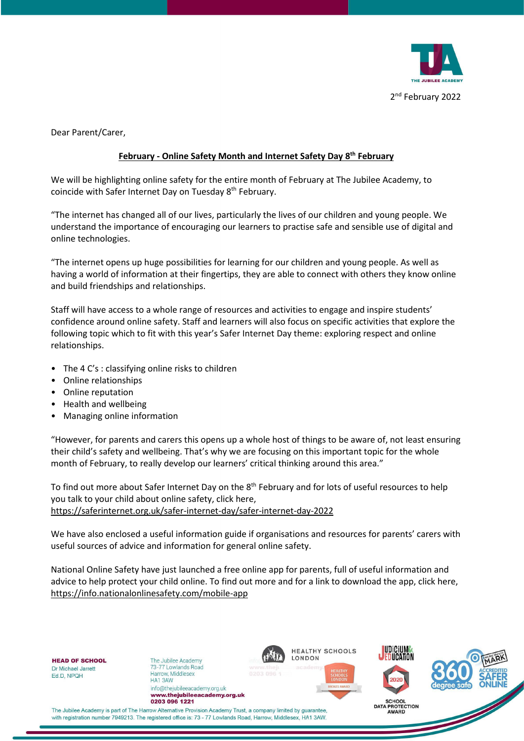

Dear Parent/Carer,

## **February - Online Safety Month and Internet Safety Day 8th February**

We will be highlighting online safety for the entire month of February at The Jubilee Academy, to coincide with Safer Internet Day on Tuesday 8<sup>th</sup> February.

"The internet has changed all of our lives, particularly the lives of our children and young people. We understand the importance of encouraging our learners to practise safe and sensible use of digital and online technologies.

"The internet opens up huge possibilities for learning for our children and young people. As well as having a world of information at their fingertips, they are able to connect with others they know online and build friendships and relationships.

Staff will have access to a whole range of resources and activities to engage and inspire students' confidence around online safety. Staff and learners will also focus on specific activities that explore the following topic which to fit with this year's Safer Internet Day theme: exploring respect and online relationships.

- The 4 C's : classifying online risks to children
- Online relationships
- Online reputation
- Health and wellbeing
- Managing online information

"However, for parents and carers this opens up a whole host of things to be aware of, not least ensuring their child's safety and wellbeing. That's why we are focusing on this important topic for the whole month of February, to really develop our learners' critical thinking around this area."

To find out more about Safer Internet Day on the 8<sup>th</sup> February and for lots of useful resources to help you talk to your child about online safety, click here, <https://saferinternet.org.uk/safer-internet-day/safer-internet-day-2022>

We have also enclosed a useful information guide if organisations and resources for parents' carers with useful sources of advice and information for general online safety.

National Online Safety have just launched a free online app for parents, full of useful information and advice to help protect your child online. To find out more and for a link to download the app, click here, <https://info.nationalonlinesafety.com/mobile-app>